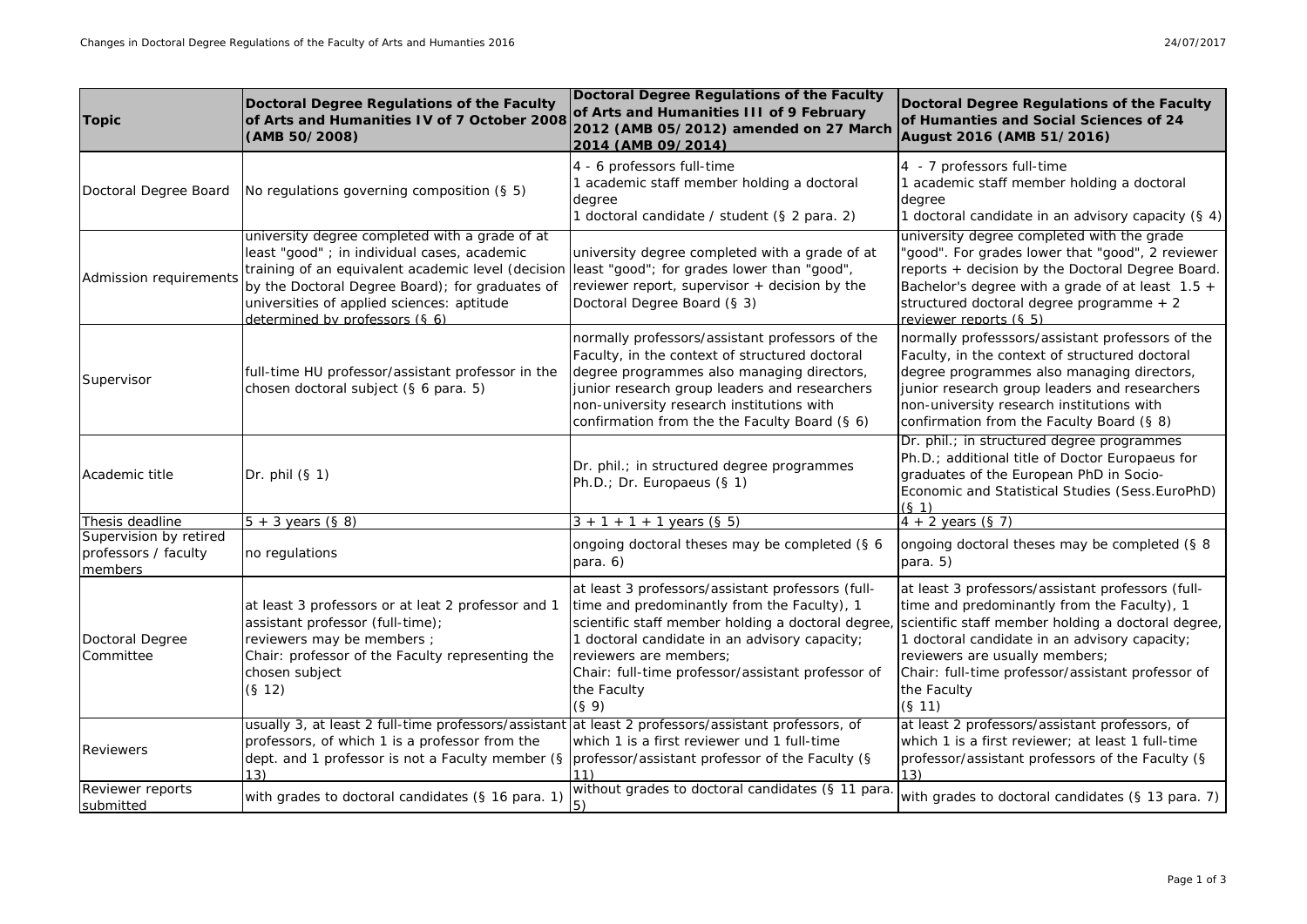| <b>Topic</b>                                              | Doctoral Degree Regulations of the Faculty<br>of Arts and Humanities IV of 7 October 2008<br>(AMB 50/2008)                                                                                                                                                                              | <b>Doctoral Degree Regulations of the Faculty</b><br>of Arts and Humanities III of 9 February<br>2012 (AMB 05/2012) amended on 27 March<br>2014 (AMB 09/2014)                                                                                                                                                 | Doctoral Degree Regulations of the Faculty<br>of Humanties and Social Sciences of 24<br>August 2016 (AMB 51/2016)                                                                                                                                                                                                       |
|-----------------------------------------------------------|-----------------------------------------------------------------------------------------------------------------------------------------------------------------------------------------------------------------------------------------------------------------------------------------|---------------------------------------------------------------------------------------------------------------------------------------------------------------------------------------------------------------------------------------------------------------------------------------------------------------|-------------------------------------------------------------------------------------------------------------------------------------------------------------------------------------------------------------------------------------------------------------------------------------------------------------------------|
| Doctoral Degree Board                                     | No regulations governing composition (§ 5)                                                                                                                                                                                                                                              | 4 - 6 professors full-time<br>1 academic staff member holding a doctoral<br>degree<br>1 doctoral candidate / student (§ 2 para. 2)                                                                                                                                                                            | 4 - 7 professors full-time<br>1 academic staff member holding a doctoral<br>degree<br>1 doctoral candidate in an advisory capacity (§ 4)                                                                                                                                                                                |
| Admission requirements                                    | university degree completed with a grade of at<br>least "good" ; in individual cases, academic<br>training of an equivalent academic level (decision<br>by the Doctoral Degree Board); for graduates of<br>universities of applied sciences: aptitude<br>determined by professors (§ 6) | university degree completed with a grade of at<br>least "good"; for grades lower than "good",<br>reviewer report, supervisor + decision by the<br>Doctoral Degree Board (§ 3)                                                                                                                                 | university degree completed with the grade<br>"good". For grades lower that "good", 2 reviewer<br>reports + decision by the Doctoral Degree Board.<br>Bachelor's degree with a grade of at least $1.5 +$<br>structured doctoral degree programme + 2<br>reviewer reports (§ 5)                                          |
| Supervisor                                                | full-time HU professor/assistant professor in the<br>chosen doctoral subject (§ 6 para. 5)                                                                                                                                                                                              | normally professors/assistant professors of the<br>Faculty, in the context of structured doctoral<br>degree programmes also managing directors,<br>junior research group leaders and researchers<br>non-university research institutions with<br>confirmation from the the Faculty Board (§ 6)                | normally professsors/assistant professors of the<br>Faculty, in the context of structured doctoral<br>degree programmes also managing directors,<br>junior research group leaders and researchers<br>non-university research institutions with<br>confirmation from the Faculty Board (§ 8)                             |
| Academic title                                            | Dr. phil $(S 1)$                                                                                                                                                                                                                                                                        | Dr. phil.; in structured degree programmes<br>Ph.D.; Dr. Europaeus (§ 1)                                                                                                                                                                                                                                      | Dr. phil.; in structured degree programmes<br>Ph.D.; additional title of Doctor Europaeus for<br>graduates of the European PhD in Socio-<br>Economic and Statistical Studies (Sess. EuroPhD)<br>(S <sub>1</sub> )                                                                                                       |
| Thesis deadline                                           | $5 + 3$ years (§ 8)                                                                                                                                                                                                                                                                     | $3 + 1 + 1 + 1$ years (§ 5)                                                                                                                                                                                                                                                                                   | $4 + 2$ years (§ 7)                                                                                                                                                                                                                                                                                                     |
| Supervision by retired<br>professors / faculty<br>members | no regulations                                                                                                                                                                                                                                                                          | ongoing doctoral theses may be completed (§ 6<br>para. 6)                                                                                                                                                                                                                                                     | ongoing doctoral theses may be completed (§ 8<br>para. $5)$                                                                                                                                                                                                                                                             |
| Doctoral Degree<br>Committee                              | at least 3 professors or at leat 2 professor and 1<br>assistant professor (full-time);<br>reviewers may be members ;<br>Chair: professor of the Faculty representing the<br>chosen subject<br>(S <sub>12</sub> )                                                                        | at least 3 professors/assistant professors (full-<br>time and predominantly from the Faculty), 1<br>scientific staff member holding a doctoral degree<br>1 doctoral candidate in an advisory capacity;<br>reviewers are members;<br>Chair: full-time professor/assistant professor of<br>the Faculty<br>(§ 9) | at least 3 professors/assistant professors (full-<br>time and predominantly from the Faculty), 1<br>scientific staff member holding a doctoral degree,<br>1 doctoral candidate in an advisory capacity;<br>reviewers are usually members;<br>Chair: full-time professor/assistant professor of<br>the Faculty<br>(§ 11) |
| <b>Reviewers</b>                                          | usually 3, at least 2 full-time professors/assistant at least 2 professors/assistant professors, of<br>professors, of which 1 is a professor from the<br>dept. and 1 professor is not a Faculty member (§<br>13)                                                                        | which 1 is a first reviewer und 1 full-time<br>professor/assistant professor of the Faculty (§                                                                                                                                                                                                                | at least 2 professors/assistant professors, of<br>which 1 is a first reviewer; at least 1 full-time<br>professor/assistant professors of the Faculty (§<br>13)                                                                                                                                                          |
| Reviewer reports<br>submitted                             | with grades to doctoral candidates (§ 16 para. 1)                                                                                                                                                                                                                                       | without grades to doctoral candidates (§ 11 para.<br>$\vert 5)$                                                                                                                                                                                                                                               | with grades to doctoral candidates (§ 13 para. 7)                                                                                                                                                                                                                                                                       |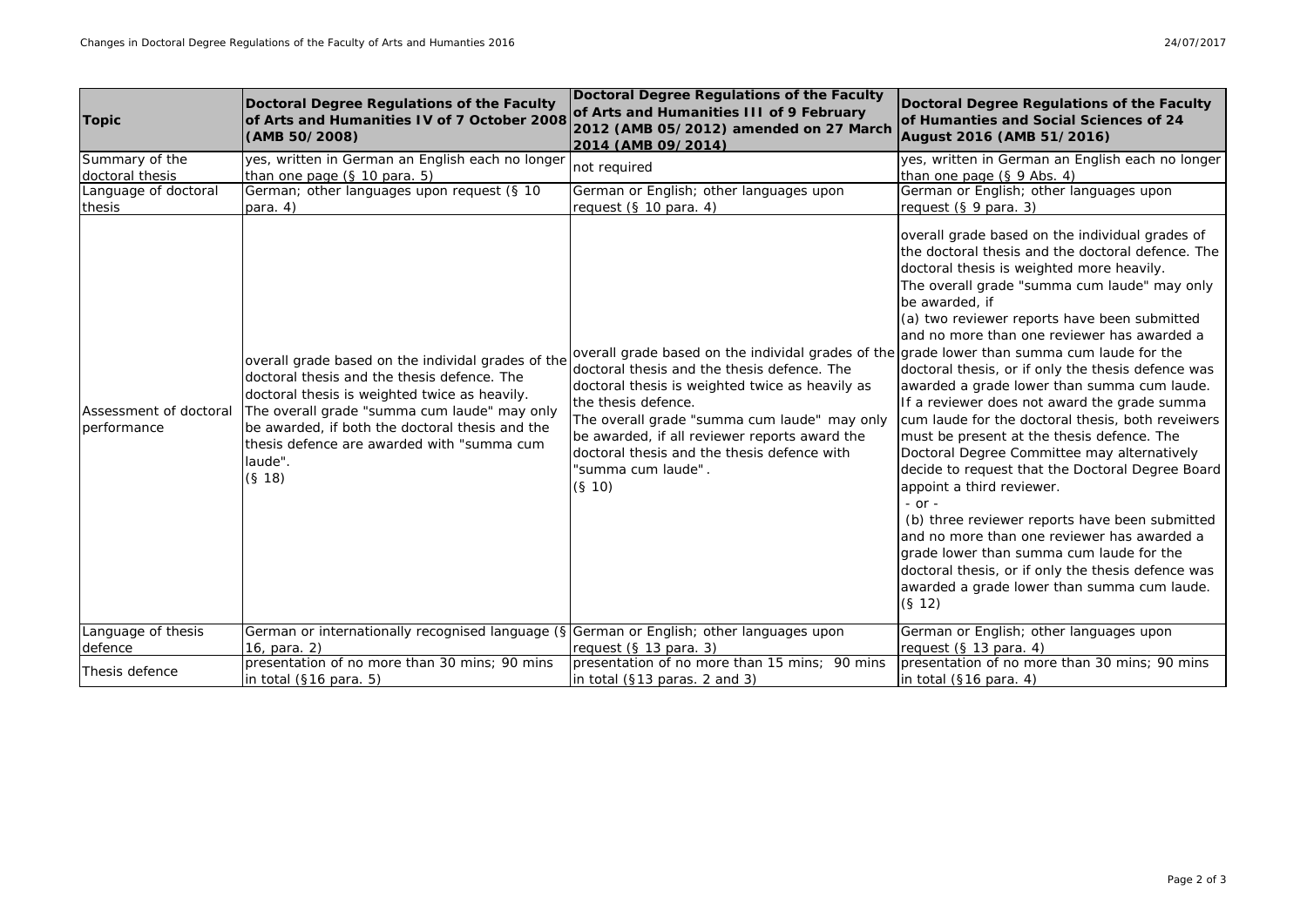| <b>Topic</b>                          | Doctoral Degree Regulations of the Faculty<br>of Arts and Humanities IV of 7 October 2008<br>(AMB 50/2008)                                                                                                                                                                                                               | <b>Doctoral Degree Regulations of the Faculty</b><br>of Arts and Humanities III of 9 February<br>2012 (AMB 05/2012) amended on 27 March<br>2014 (AMB 09/2014)                                                                                                                                                                                                                                       | Doctoral Degree Regulations of the Faculty<br>of Humanties and Social Sciences of 24<br>August 2016 (AMB 51/2016)                                                                                                                                                                                                                                                                                                                                                                                                                                                                                                                                                                                                                                                                                                                                                                                                                                                                                |
|---------------------------------------|--------------------------------------------------------------------------------------------------------------------------------------------------------------------------------------------------------------------------------------------------------------------------------------------------------------------------|-----------------------------------------------------------------------------------------------------------------------------------------------------------------------------------------------------------------------------------------------------------------------------------------------------------------------------------------------------------------------------------------------------|--------------------------------------------------------------------------------------------------------------------------------------------------------------------------------------------------------------------------------------------------------------------------------------------------------------------------------------------------------------------------------------------------------------------------------------------------------------------------------------------------------------------------------------------------------------------------------------------------------------------------------------------------------------------------------------------------------------------------------------------------------------------------------------------------------------------------------------------------------------------------------------------------------------------------------------------------------------------------------------------------|
| Summary of the<br>doctoral thesis     | yes, written in German an English each no longer<br>than one page $(S$ 10 para. 5)                                                                                                                                                                                                                                       | not reguired                                                                                                                                                                                                                                                                                                                                                                                        | yes, written in German an English each no longer<br>than one page (§ 9 Abs. 4)                                                                                                                                                                                                                                                                                                                                                                                                                                                                                                                                                                                                                                                                                                                                                                                                                                                                                                                   |
| Language of doctoral<br>thesis        | German; other languages upon request (§ 10<br>para. $4)$                                                                                                                                                                                                                                                                 | German or English; other languages upon<br>request $(S 10 \text{ para. } 4)$                                                                                                                                                                                                                                                                                                                        | German or English; other languages upon<br>request $(S 9)$ para. 3)                                                                                                                                                                                                                                                                                                                                                                                                                                                                                                                                                                                                                                                                                                                                                                                                                                                                                                                              |
| Assessment of doctoral<br>performance | overall grade based on the individal grades of the<br>doctoral thesis and the thesis defence. The<br>doctoral thesis is weighted twice as heavily.<br>The overall grade "summa cum laude" may only<br>be awarded, if both the doctoral thesis and the<br>thesis defence are awarded with "summa cum<br>laude".<br>(§ 18) | overall grade based on the individal grades of the grade lower than summa cum laude for the<br>doctoral thesis and the thesis defence. The<br>doctoral thesis is weighted twice as heavily as<br>the thesis defence.<br>The overall grade "summa cum laude" may only<br>be awarded, if all reviewer reports award the<br>doctoral thesis and the thesis defence with<br>summa cum laude".<br>(§ 10) | overall grade based on the individual grades of<br>the doctoral thesis and the doctoral defence. The<br>doctoral thesis is weighted more heavily.<br>The overall grade "summa cum laude" may only<br>be awarded, if<br>(a) two reviewer reports have been submitted<br>and no more than one reviewer has awarded a<br>doctoral thesis, or if only the thesis defence was<br>awarded a grade lower than summa cum laude.<br>If a reviewer does not award the grade summa<br>cum laude for the doctoral thesis, both reveiwers<br>must be present at the thesis defence. The<br>Doctoral Degree Committee may alternatively<br>decide to request that the Doctoral Degree Board<br>appoint a third reviewer.<br>$-$ or $-$<br>(b) three reviewer reports have been submitted<br>and no more than one reviewer has awarded a<br>grade lower than summa cum laude for the<br>doctoral thesis, or if only the thesis defence was<br>awarded a grade lower than summa cum laude.<br>(S <sub>12</sub> ) |
| Language of thesis                    | German or internationally recognised language (§ German or English; other languages upon                                                                                                                                                                                                                                 |                                                                                                                                                                                                                                                                                                                                                                                                     | German or English; other languages upon                                                                                                                                                                                                                                                                                                                                                                                                                                                                                                                                                                                                                                                                                                                                                                                                                                                                                                                                                          |
| defence                               | 16, para, 2)                                                                                                                                                                                                                                                                                                             | request $(S$ 13 para. 3)                                                                                                                                                                                                                                                                                                                                                                            | request (§ 13 para. 4)                                                                                                                                                                                                                                                                                                                                                                                                                                                                                                                                                                                                                                                                                                                                                                                                                                                                                                                                                                           |
| Thesis defence                        | presentation of no more than 30 mins; 90 mins<br>in total $(S16 \text{ para. } 5)$                                                                                                                                                                                                                                       | presentation of no more than 15 mins: 90 mins<br>in total $(S13 \text{ paras. } 2 \text{ and } 3)$                                                                                                                                                                                                                                                                                                  | presentation of no more than 30 mins; 90 mins<br>in total $(S16 \text{ para. } 4)$                                                                                                                                                                                                                                                                                                                                                                                                                                                                                                                                                                                                                                                                                                                                                                                                                                                                                                               |